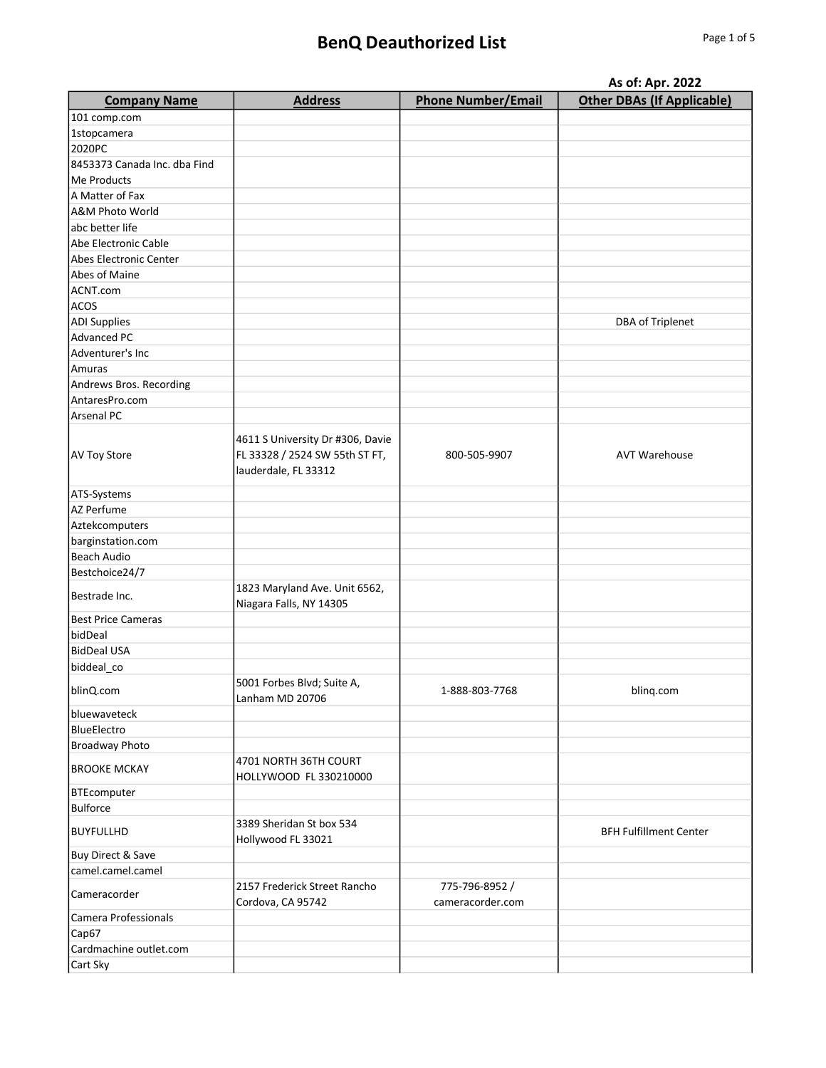## BenQ Deauthorized List Page 1 of 5

|                              | As of: Apr. 2022                                         |                                   |                                   |
|------------------------------|----------------------------------------------------------|-----------------------------------|-----------------------------------|
| <b>Company Name</b>          | <b>Address</b>                                           | <b>Phone Number/Email</b>         | <b>Other DBAs (If Applicable)</b> |
| 101 comp.com                 |                                                          |                                   |                                   |
| 1stopcamera                  |                                                          |                                   |                                   |
| 2020PC                       |                                                          |                                   |                                   |
| 8453373 Canada Inc. dba Find |                                                          |                                   |                                   |
| Me Products                  |                                                          |                                   |                                   |
| A Matter of Fax              |                                                          |                                   |                                   |
| A&M Photo World              |                                                          |                                   |                                   |
| abc better life              |                                                          |                                   |                                   |
| Abe Electronic Cable         |                                                          |                                   |                                   |
| Abes Electronic Center       |                                                          |                                   |                                   |
| Abes of Maine                |                                                          |                                   |                                   |
| ACNT.com                     |                                                          |                                   |                                   |
| ACOS                         |                                                          |                                   |                                   |
| <b>ADI Supplies</b>          |                                                          |                                   | DBA of Triplenet                  |
| Advanced PC                  |                                                          |                                   |                                   |
| Adventurer's Inc             |                                                          |                                   |                                   |
| Amuras                       |                                                          |                                   |                                   |
| Andrews Bros. Recording      |                                                          |                                   |                                   |
| AntaresPro.com               |                                                          |                                   |                                   |
| Arsenal PC                   |                                                          |                                   |                                   |
|                              | 4611 S University Dr #306, Davie                         |                                   |                                   |
| AV Toy Store                 | FL 33328 / 2524 SW 55th ST FT,<br>lauderdale, FL 33312   | 800-505-9907                      | <b>AVT Warehouse</b>              |
| ATS-Systems                  |                                                          |                                   |                                   |
| AZ Perfume                   |                                                          |                                   |                                   |
| Aztekcomputers               |                                                          |                                   |                                   |
| barginstation.com            |                                                          |                                   |                                   |
| Beach Audio                  |                                                          |                                   |                                   |
| Bestchoice24/7               |                                                          |                                   |                                   |
| Bestrade Inc.                | 1823 Maryland Ave. Unit 6562,<br>Niagara Falls, NY 14305 |                                   |                                   |
| <b>Best Price Cameras</b>    |                                                          |                                   |                                   |
| bidDeal                      |                                                          |                                   |                                   |
| <b>BidDeal USA</b>           |                                                          |                                   |                                   |
| biddeal_co                   |                                                          |                                   |                                   |
| blinQ.com                    | 5001 Forbes Blvd; Suite A,<br>Lanham MD 20706            | 1-888-803-7768                    | bling.com                         |
| bluewaveteck                 |                                                          |                                   |                                   |
| BlueElectro                  |                                                          |                                   |                                   |
| <b>Broadway Photo</b>        |                                                          |                                   |                                   |
| <b>BROOKE MCKAY</b>          | 4701 NORTH 36TH COURT<br>HOLLYWOOD FL 330210000          |                                   |                                   |
| <b>BTEcomputer</b>           |                                                          |                                   |                                   |
| <b>Bulforce</b>              |                                                          |                                   |                                   |
| <b>BUYFULLHD</b>             | 3389 Sheridan St box 534<br>Hollywood FL 33021           |                                   | <b>BFH Fulfillment Center</b>     |
| Buy Direct & Save            |                                                          |                                   |                                   |
| camel.camel.camel            |                                                          |                                   |                                   |
| Cameracorder                 | 2157 Frederick Street Rancho<br>Cordova, CA 95742        | 775-796-8952/<br>cameracorder.com |                                   |
| Camera Professionals         |                                                          |                                   |                                   |
| Cap67                        |                                                          |                                   |                                   |
| Cardmachine outlet.com       |                                                          |                                   |                                   |
| Cart Sky                     |                                                          |                                   |                                   |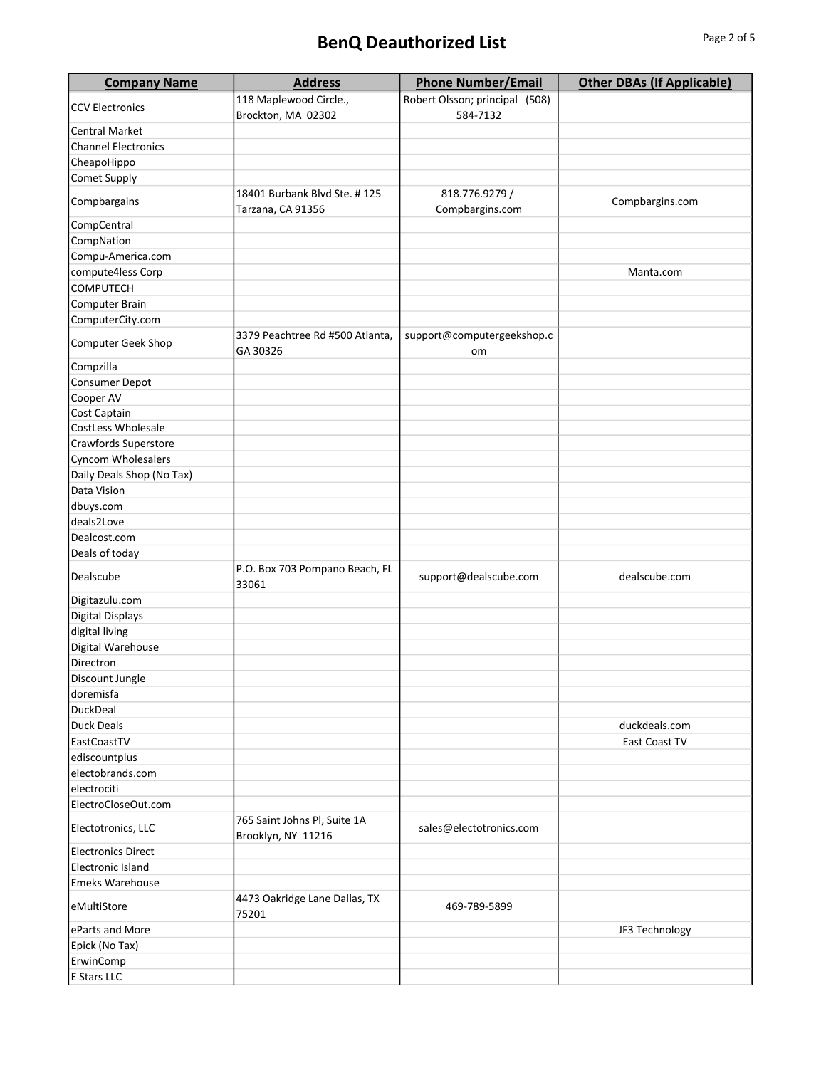## BenQ Deauthorized List **BenQ** Deauthorized List

| <b>Company Name</b>        | <b>Address</b>                                     | <b>Phone Number/Email</b>         | <b>Other DBAs (If Applicable)</b> |
|----------------------------|----------------------------------------------------|-----------------------------------|-----------------------------------|
|                            | 118 Maplewood Circle.,                             | Robert Olsson; principal (508)    |                                   |
| <b>CCV Electronics</b>     | Brockton, MA 02302                                 | 584-7132                          |                                   |
| Central Market             |                                                    |                                   |                                   |
| <b>Channel Electronics</b> |                                                    |                                   |                                   |
| CheapoHippo                |                                                    |                                   |                                   |
| Comet Supply               |                                                    |                                   |                                   |
| Compbargains               | 18401 Burbank Blvd Ste. #125<br>Tarzana, CA 91356  | 818.776.9279 /<br>Compbargins.com | Compbargins.com                   |
| CompCentral                |                                                    |                                   |                                   |
| CompNation                 |                                                    |                                   |                                   |
| Compu-America.com          |                                                    |                                   |                                   |
| compute4less Corp          |                                                    |                                   | Manta.com                         |
| COMPUTECH                  |                                                    |                                   |                                   |
| Computer Brain             |                                                    |                                   |                                   |
| ComputerCity.com           |                                                    |                                   |                                   |
| Computer Geek Shop         | 3379 Peachtree Rd #500 Atlanta,<br>GA 30326        | support@computergeekshop.c<br>om  |                                   |
| Compzilla                  |                                                    |                                   |                                   |
| Consumer Depot             |                                                    |                                   |                                   |
| Cooper AV                  |                                                    |                                   |                                   |
| Cost Captain               |                                                    |                                   |                                   |
| CostLess Wholesale         |                                                    |                                   |                                   |
| Crawfords Superstore       |                                                    |                                   |                                   |
| Cyncom Wholesalers         |                                                    |                                   |                                   |
| Daily Deals Shop (No Tax)  |                                                    |                                   |                                   |
| Data Vision                |                                                    |                                   |                                   |
|                            |                                                    |                                   |                                   |
| dbuys.com                  |                                                    |                                   |                                   |
| deals2Love                 |                                                    |                                   |                                   |
| Dealcost.com               |                                                    |                                   |                                   |
| Deals of today             |                                                    |                                   |                                   |
| Dealscube                  | P.O. Box 703 Pompano Beach, FL<br>33061            | support@dealscube.com             | dealscube.com                     |
| Digitazulu.com             |                                                    |                                   |                                   |
| <b>Digital Displays</b>    |                                                    |                                   |                                   |
| digital living             |                                                    |                                   |                                   |
| Digital Warehouse          |                                                    |                                   |                                   |
| Directron                  |                                                    |                                   |                                   |
| Discount Jungle            |                                                    |                                   |                                   |
| doremisfa                  |                                                    |                                   |                                   |
| DuckDeal                   |                                                    |                                   |                                   |
| <b>Duck Deals</b>          |                                                    |                                   | duckdeals.com                     |
| EastCoastTV                |                                                    |                                   | East Coast TV                     |
| ediscountplus              |                                                    |                                   |                                   |
| electobrands.com           |                                                    |                                   |                                   |
| electrociti                |                                                    |                                   |                                   |
| ElectroCloseOut.com        |                                                    |                                   |                                   |
| Electotronics, LLC         | 765 Saint Johns Pl, Suite 1A<br>Brooklyn, NY 11216 | sales@electotronics.com           |                                   |
| <b>Electronics Direct</b>  |                                                    |                                   |                                   |
| <b>Electronic Island</b>   |                                                    |                                   |                                   |
| <b>Emeks Warehouse</b>     |                                                    |                                   |                                   |
| eMultiStore                | 4473 Oakridge Lane Dallas, TX                      | 469-789-5899                      |                                   |
| eParts and More            | 75201                                              |                                   |                                   |
|                            |                                                    |                                   | JF3 Technology                    |
| Epick (No Tax)             |                                                    |                                   |                                   |
| ErwinComp                  |                                                    |                                   |                                   |
| E Stars LLC                |                                                    |                                   |                                   |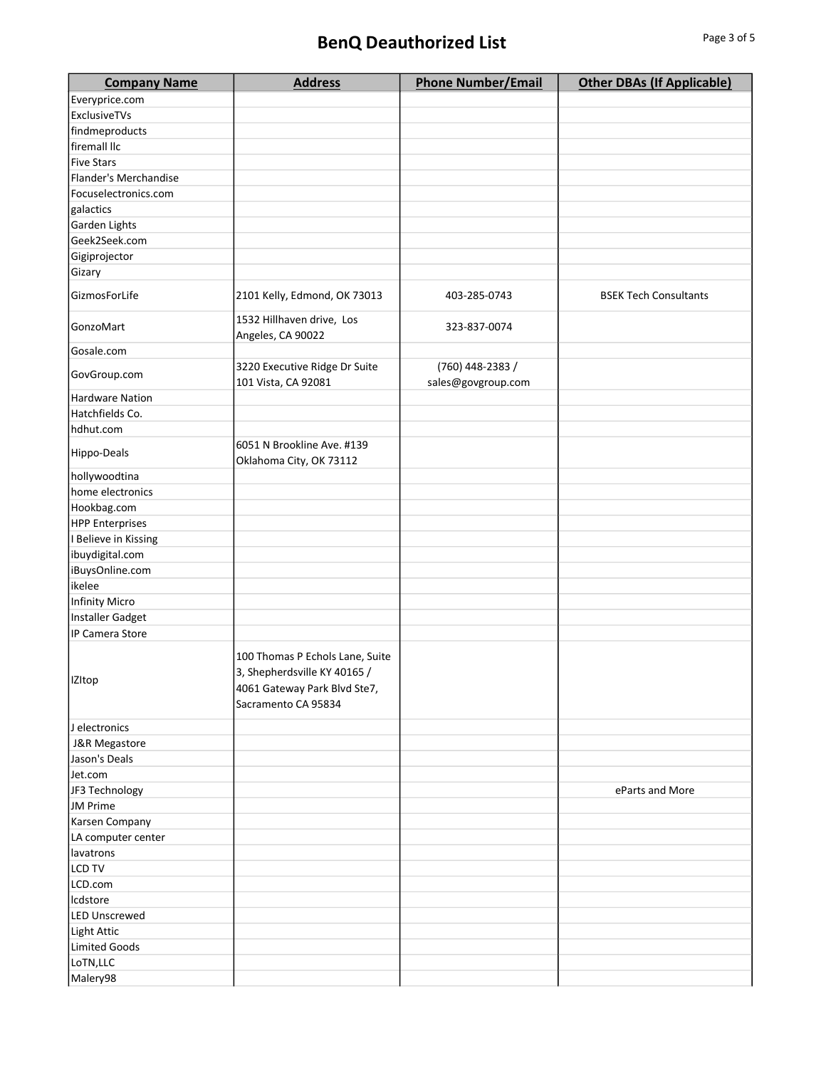| <b>Company Name</b>    | <b>Address</b>                                                                                                         | <b>Phone Number/Email</b>              | <b>Other DBAs (If Applicable)</b> |
|------------------------|------------------------------------------------------------------------------------------------------------------------|----------------------------------------|-----------------------------------|
| Everyprice.com         |                                                                                                                        |                                        |                                   |
| ExclusiveTVs           |                                                                                                                        |                                        |                                   |
| findmeproducts         |                                                                                                                        |                                        |                                   |
| firemall llc           |                                                                                                                        |                                        |                                   |
| <b>Five Stars</b>      |                                                                                                                        |                                        |                                   |
| Flander's Merchandise  |                                                                                                                        |                                        |                                   |
| Focuselectronics.com   |                                                                                                                        |                                        |                                   |
| galactics              |                                                                                                                        |                                        |                                   |
| Garden Lights          |                                                                                                                        |                                        |                                   |
| Geek2Seek.com          |                                                                                                                        |                                        |                                   |
| Gigiprojector          |                                                                                                                        |                                        |                                   |
| Gizary                 |                                                                                                                        |                                        |                                   |
| GizmosForLife          | 2101 Kelly, Edmond, OK 73013                                                                                           | 403-285-0743                           | <b>BSEK Tech Consultants</b>      |
| GonzoMart              | 1532 Hillhaven drive, Los<br>Angeles, CA 90022                                                                         | 323-837-0074                           |                                   |
| Gosale.com             |                                                                                                                        |                                        |                                   |
| GovGroup.com           | 3220 Executive Ridge Dr Suite<br>101 Vista, CA 92081                                                                   | (760) 448-2383 /<br>sales@govgroup.com |                                   |
| <b>Hardware Nation</b> |                                                                                                                        |                                        |                                   |
| Hatchfields Co.        |                                                                                                                        |                                        |                                   |
| hdhut.com              |                                                                                                                        |                                        |                                   |
|                        | 6051 N Brookline Ave. #139                                                                                             |                                        |                                   |
| Hippo-Deals            | Oklahoma City, OK 73112                                                                                                |                                        |                                   |
| hollywoodtina          |                                                                                                                        |                                        |                                   |
| home electronics       |                                                                                                                        |                                        |                                   |
| Hookbag.com            |                                                                                                                        |                                        |                                   |
| <b>HPP Enterprises</b> |                                                                                                                        |                                        |                                   |
| I Believe in Kissing   |                                                                                                                        |                                        |                                   |
| ibuydigital.com        |                                                                                                                        |                                        |                                   |
| iBuysOnline.com        |                                                                                                                        |                                        |                                   |
| ikelee                 |                                                                                                                        |                                        |                                   |
| <b>Infinity Micro</b>  |                                                                                                                        |                                        |                                   |
| Installer Gadget       |                                                                                                                        |                                        |                                   |
| IP Camera Store        |                                                                                                                        |                                        |                                   |
| IZItop                 | 100 Thomas P Echols Lane, Suite<br>3, Shepherdsville KY 40165 /<br>4061 Gateway Park Blvd Ste7,<br>Sacramento CA 95834 |                                        |                                   |
| J electronics          |                                                                                                                        |                                        |                                   |
| J&R Megastore          |                                                                                                                        |                                        |                                   |
| Jason's Deals          |                                                                                                                        |                                        |                                   |
| Jet.com                |                                                                                                                        |                                        |                                   |
| JF3 Technology         |                                                                                                                        |                                        | eParts and More                   |
| JM Prime               |                                                                                                                        |                                        |                                   |
| Karsen Company         |                                                                                                                        |                                        |                                   |
| LA computer center     |                                                                                                                        |                                        |                                   |
| lavatrons              |                                                                                                                        |                                        |                                   |
| <b>LCD TV</b>          |                                                                                                                        |                                        |                                   |
| LCD.com                |                                                                                                                        |                                        |                                   |
| Icdstore               |                                                                                                                        |                                        |                                   |
| <b>LED Unscrewed</b>   |                                                                                                                        |                                        |                                   |
| Light Attic            |                                                                                                                        |                                        |                                   |
| <b>Limited Goods</b>   |                                                                                                                        |                                        |                                   |
| LoTN, LLC              |                                                                                                                        |                                        |                                   |
| Malery98               |                                                                                                                        |                                        |                                   |
|                        |                                                                                                                        |                                        |                                   |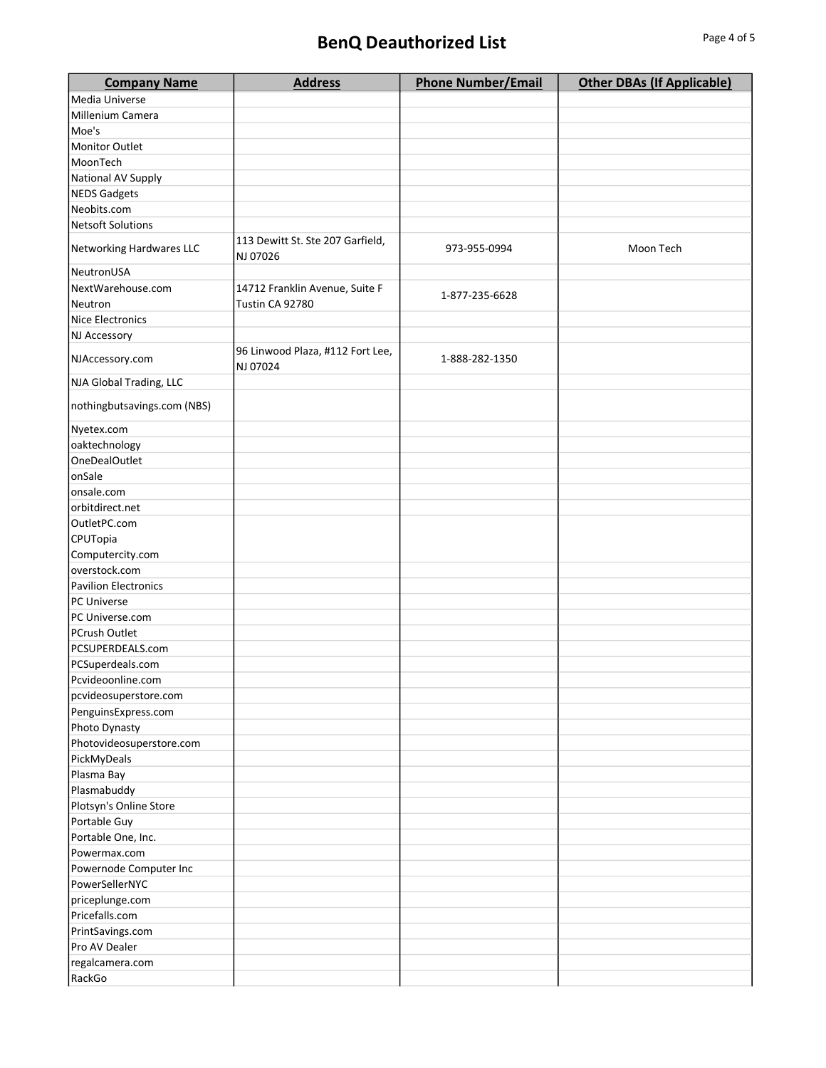## BenQ Deauthorized List Page 4 of 5

| <b>Company Name</b>               | <b>Address</b>                   | <b>Phone Number/Email</b> | <b>Other DBAs (If Applicable)</b> |
|-----------------------------------|----------------------------------|---------------------------|-----------------------------------|
| Media Universe                    |                                  |                           |                                   |
| Millenium Camera                  |                                  |                           |                                   |
| Moe's                             |                                  |                           |                                   |
| <b>Monitor Outlet</b>             |                                  |                           |                                   |
| MoonTech                          |                                  |                           |                                   |
| National AV Supply                |                                  |                           |                                   |
| <b>NEDS Gadgets</b>               |                                  |                           |                                   |
| Neobits.com                       |                                  |                           |                                   |
| <b>Netsoft Solutions</b>          |                                  |                           |                                   |
| Networking Hardwares LLC          | 113 Dewitt St. Ste 207 Garfield, | 973-955-0994              | Moon Tech                         |
| NeutronUSA                        | NJ 07026                         |                           |                                   |
| NextWarehouse.com                 | 14712 Franklin Avenue, Suite F   |                           |                                   |
| Neutron                           | Tustin CA 92780                  | 1-877-235-6628            |                                   |
| Nice Electronics                  |                                  |                           |                                   |
|                                   |                                  |                           |                                   |
| NJ Accessory                      | 96 Linwood Plaza, #112 Fort Lee, |                           |                                   |
| NJAccessory.com                   | NJ 07024                         | 1-888-282-1350            |                                   |
| NJA Global Trading, LLC           |                                  |                           |                                   |
| nothingbutsavings.com (NBS)       |                                  |                           |                                   |
| Nyetex.com                        |                                  |                           |                                   |
| oaktechnology                     |                                  |                           |                                   |
| <b>OneDealOutlet</b>              |                                  |                           |                                   |
| onSale                            |                                  |                           |                                   |
| onsale.com                        |                                  |                           |                                   |
| orbitdirect.net                   |                                  |                           |                                   |
| OutletPC.com                      |                                  |                           |                                   |
| CPUTopia                          |                                  |                           |                                   |
| Computercity.com                  |                                  |                           |                                   |
| overstock.com                     |                                  |                           |                                   |
| <b>Pavilion Electronics</b>       |                                  |                           |                                   |
| PC Universe                       |                                  |                           |                                   |
| PC Universe.com                   |                                  |                           |                                   |
| PCrush Outlet                     |                                  |                           |                                   |
| PCSUPERDEALS.com                  |                                  |                           |                                   |
| PCSuperdeals.com                  |                                  |                           |                                   |
| Pcvideoonline.com                 |                                  |                           |                                   |
| pcvideosuperstore.com             |                                  |                           |                                   |
| PenguinsExpress.com               |                                  |                           |                                   |
| Photo Dynasty                     |                                  |                           |                                   |
| Photovideosuperstore.com          |                                  |                           |                                   |
| PickMyDeals                       |                                  |                           |                                   |
| Plasma Bay                        |                                  |                           |                                   |
| Plasmabuddy                       |                                  |                           |                                   |
| Plotsyn's Online Store            |                                  |                           |                                   |
| Portable Guy                      |                                  |                           |                                   |
| Portable One, Inc.                |                                  |                           |                                   |
| Powermax.com                      |                                  |                           |                                   |
| Powernode Computer Inc            |                                  |                           |                                   |
| PowerSellerNYC                    |                                  |                           |                                   |
|                                   |                                  |                           |                                   |
| priceplunge.com<br>Pricefalls.com |                                  |                           |                                   |
|                                   |                                  |                           |                                   |
| PrintSavings.com                  |                                  |                           |                                   |
| Pro AV Dealer                     |                                  |                           |                                   |
| regalcamera.com                   |                                  |                           |                                   |
| RackGo                            |                                  |                           |                                   |